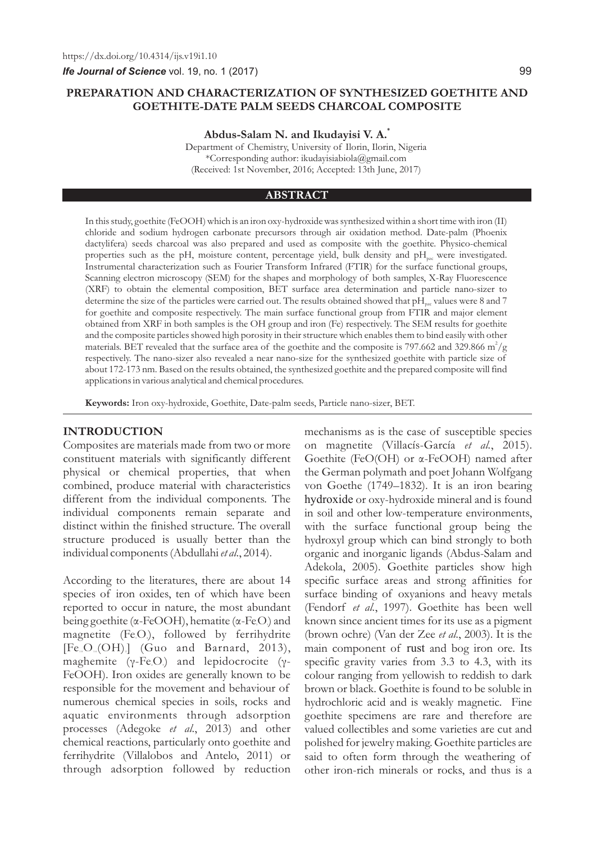# **PREPARATION AND CHARACTERIZATION OF SYNTHESIZED GOETHITE AND GOETHITE-DATE PALM SEEDS CHARCOAL COMPOSITE**

**\* Abdus-Salam N. and Ikudayisi V. A.**

Department of Chemistry, University of Ilorin, Ilorin, Nigeria \*Corresponding author: ikudayisiabiola@gmail.com (Received: 1st November, 2016; Accepted: 13th June, 2017)

### **ABSTRACT**

In this study, goethite (FeOOH) which is an iron oxy-hydroxide was synthesized within a short time with iron (II) chloride and sodium hydrogen carbonate precursors through air oxidation method. Date-palm (Phoenix dactylifera) seeds charcoal was also prepared and used as composite with the goethite. Physico-chemical properties such as the pH, moisture content, percentage yield, bulk density and  $pH_{\text{per}}$  were investigated. Instrumental characterization such as Fourier Transform Infrared (FTIR) for the surface functional groups, Scanning electron microscopy (SEM) for the shapes and morphology of both samples, X-Ray Fluorescence (XRF) to obtain the elemental composition, BET surface area determination and particle nano-sizer to determine the size of the particles were carried out. The results obtained showed that  $\rm pH_{\rm exc}$  values were 8 and 7 for goethite and composite respectively. The main surface functional group from FTIR and major element obtained from XRF in both samples is the OH group and iron (Fe) respectively. The SEM results for goethite and the composite particles showed high porosity in their structure which enables them to bind easily with other materials. BET revealed that the surface area of the goethite and the composite is 797.662 and 329.866 m<sup>2</sup>/g respectively. The nano-sizer also revealed a near nano-size for the synthesized goethite with particle size of about 172-173 nm. Based on the results obtained, the synthesized goethite and the prepared composite will find applications in various analytical and chemical procedures.

**Keywords:** Iron oxy-hydroxide, Goethite, Date-palm seeds, Particle nano-sizer, BET.

### **INTRODUCTION**

Composites are materials made from two or more constituent materials with significantly different physical or chemical properties, that when combined, produce material with characteristics different from the individual components. The individual components remain separate and distinct within the finished structure. The overall structure produced is usually better than the individual components (Abdullahi *et al*., 2014).

According to the literatures, there are about 14 species of iron oxides, ten of which have been reported to occur in nature, the most abundant being goethite ( $\alpha$ -FeOOH), hematite ( $\alpha$ -FeO<sub>i</sub>) and magnetite (Fe,O.), followed by ferrihydrite  $[Fe_{10}O_{14}(OH)]$  (Guo and Barnard, 2013), maghemite ( $\gamma$ -Fe<sub>2</sub>O<sub>3</sub>) and lepidocrocite ( $\gamma$ -FeOOH). Iron oxides are generally known to be responsible for the movement and behaviour of numerous chemical species in soils, rocks and aquatic environments through adsorption processes (Adegoke *et al*., 2013) and other chemical reactions, particularly onto goethite and ferrihydrite (Villalobos and Antelo, 2011) or through adsorption followed by reduction

mechanisms as is the case of susceptible species on magnetite (Villacís-García *et al.*, 2015). Goethite (FeO(OH) or α-FeOOH) named after the German polymath and poet Johann Wolfgang von Goethe (1749–1832). It is an iron bearing hydroxide or oxy-hydroxide mineral and is found in soil and other low-temperature environments, with the surface functional group being the hydroxyl group which can bind strongly to both organic and inorganic ligands (Abdus-Salam and Adekola, 2005). Goethite particles show high specific surface areas and strong affinities for surface binding of oxyanions and heavy metals (Fendorf *et al.*, 1997). Goethite has been well known since ancient times for its use as a pigment (brown ochre) (Van der Zee *et al*., 2003). It is the main component of rust and bog iron ore. Its specific gravity varies from 3.3 to 4.3, with its colour ranging from yellowish to reddish to dark brown or black. Goethite is found to be soluble in hydrochloric acid and is weakly magnetic. Fine goethite specimens are rare and therefore are valued collectibles and some varieties are cut and polished for jewelry making. Goethite particles are said to often form through the weathering of other iron-rich minerals or rocks, and thus is a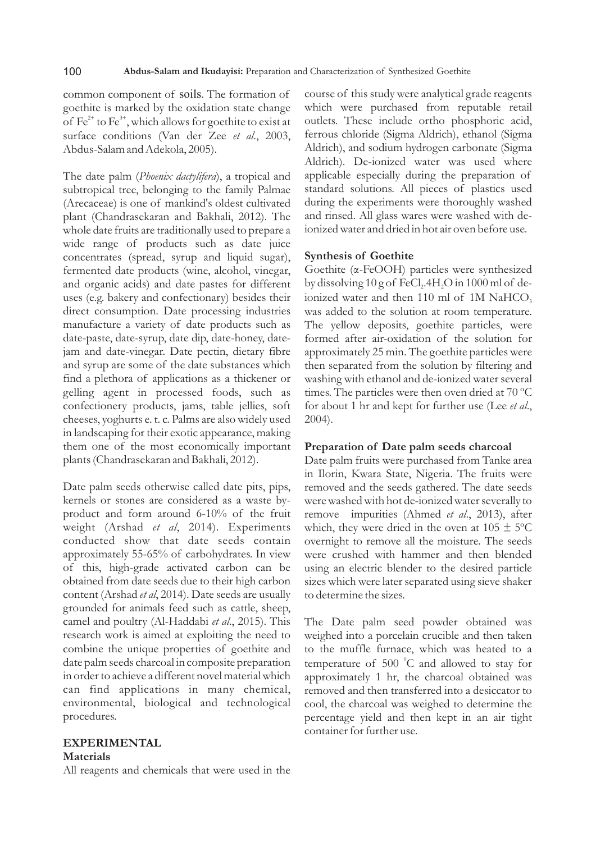common component of soils. The formation of goethite is marked by the oxidation state change of  $\text{Fe}^{2+}$  to  $\text{Fe}^{3+}$ , which allows for goethite to exist at surface conditions (Van der Zee *et al*., 2003, Abdus-Salam and Adekola, 2005).

The date palm (*Phoenix dactylifera*), a tropical and subtropical tree, belonging to the family Palmae (Arecaceae) is one of mankind's oldest cultivated plant (Chandrasekaran and Bakhali, 2012). The whole date fruits are traditionally used to prepare a wide range of products such as date juice concentrates (spread, syrup and liquid sugar), fermented date products (wine, alcohol, vinegar, and organic acids) and date pastes for different uses (e.g. bakery and confectionary) besides their direct consumption. Date processing industries manufacture a variety of date products such as date-paste, date-syrup, date dip, date-honey, datejam and date-vinegar. Date pectin, dietary fibre and syrup are some of the date substances which find a plethora of applications as a thickener or gelling agent in processed foods, such as confectionery products, jams, table jellies, soft cheeses, yoghurts e. t. c. Palms are also widely used in landscaping for their exotic appearance, making them one of the most economically important plants (Chandrasekaran and Bakhali, 2012).

Date palm seeds otherwise called date pits, pips, kernels or stones are considered as a waste byproduct and form around 6-10% of the fruit weight (Arshad *et al*, 2014). Experiments conducted show that date seeds contain approximately 55-65% of carbohydrates. In view of this, high-grade activated carbon can be obtained from date seeds due to their high carbon content (Arshad *et al*, 2014). Date seeds are usually grounded for animals feed such as cattle, sheep, camel and poultry (Al-Haddabi *et al*., 2015). This research work is aimed at exploiting the need to combine the unique properties of goethite and date palm seeds charcoal in composite preparation in order to achieve a different novel material which can find applications in many chemical, environmental, biological and technological procedures.

# **EXPERIMENTAL**

### **Materials**

All reagents and chemicals that were used in the

course of this study were analytical grade reagents which were purchased from reputable retail outlets. These include ortho phosphoric acid, ferrous chloride (Sigma Aldrich), ethanol (Sigma Aldrich), and sodium hydrogen carbonate (Sigma Aldrich). De-ionized water was used where applicable especially during the preparation of standard solutions. All pieces of plastics used during the experiments were thoroughly washed and rinsed. All glass wares were washed with deionized water and dried in hot air oven before use.

### **Synthesis of Goethite**

Goethite (α-FeOOH) particles were synthesized by dissolving  $10$  g of FeCl<sub>2</sub>.4H<sub>2</sub>O in  $1000$  ml of deionized water and then  $110$  ml of  $1M$  NaHCO<sub>3</sub> was added to the solution at room temperature. The yellow deposits, goethite particles, were formed after air-oxidation of the solution for approximately 25 min. The goethite particles were then separated from the solution by filtering and washing with ethanol and de-ionized water several times. The particles were then oven dried at 70 ºC for about 1 hr and kept for further use (Lee *et al*., 2004).

### **Preparation of Date palm seeds charcoal**

Date palm fruits were purchased from Tanke area in Ilorin, Kwara State, Nigeria. The fruits were removed and the seeds gathered. The date seeds were washed with hot de-ionized water severally to remove impurities (Ahmed *et al*., 2013), after which, they were dried in the oven at  $105 \pm 5^{\circ}$ C overnight to remove all the moisture. The seeds were crushed with hammer and then blended using an electric blender to the desired particle sizes which were later separated using sieve shaker to determine the sizes.

The Date palm seed powder obtained was weighed into a porcelain crucible and then taken to the muffle furnace, which was heated to a temperature of 500 °C and allowed to stay for approximately 1 hr, the charcoal obtained was removed and then transferred into a desiccator to cool, the charcoal was weighed to determine the percentage yield and then kept in an air tight container for further use.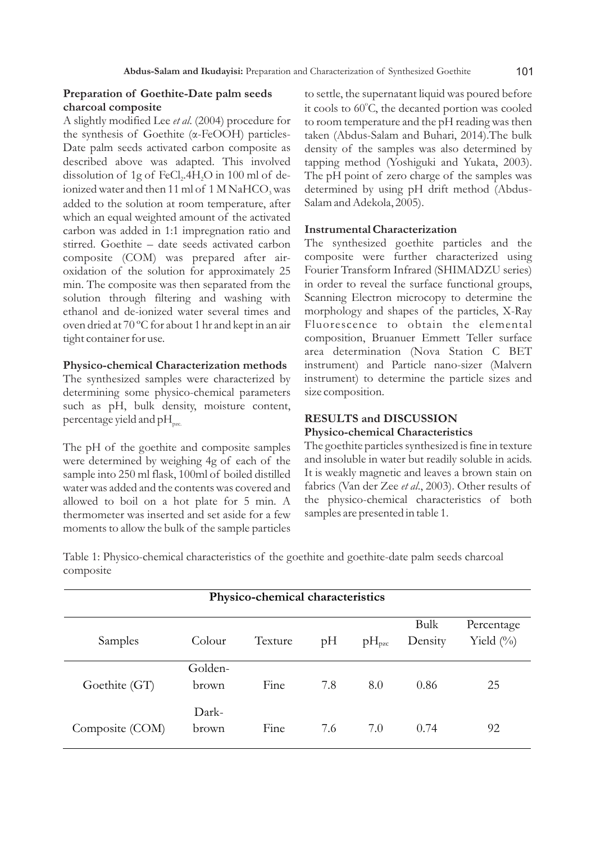## **Preparation of Goethite-Date palm seeds charcoal composite**

A slightly modified Lee *et al*. (2004) procedure for the synthesis of Goethite (α-FeOOH) particles-Date palm seeds activated carbon composite as described above was adapted. This involved dissolution of  $1g$  of FeCl,  $4H<sub>2</sub>O$  in  $100$  ml of deionized water and then 11 ml of  $1 M NaHCO<sub>3</sub>$  was added to the solution at room temperature, after which an equal weighted amount of the activated carbon was added in 1:1 impregnation ratio and stirred. Goethite – date seeds activated carbon composite (COM) was prepared after airoxidation of the solution for approximately 25 min. The composite was then separated from the solution through filtering and washing with ethanol and de-ionized water several times and oven dried at 70 ºC for about 1 hr and kept in an air tight container for use.

### **Physico-chemical Characterization methods**

The synthesized samples were characterized by determining some physico-chemical parameters such as pH, bulk density, moisture content, percentage yield and  $pH_{\text{pzc}}$ .

The pH of the goethite and composite samples were determined by weighing 4g of each of the sample into 250 ml flask, 100ml of boiled distilled water was added and the contents was covered and allowed to boil on a hot plate for 5 min. A thermometer was inserted and set aside for a few moments to allow the bulk of the sample particles to settle, the supernatant liquid was poured before it cools to 60°C, the decanted portion was cooled to room temperature and the pH reading was then taken (Abdus-Salam and Buhari, 2014).The bulk density of the samples was also determined by tapping method (Yoshiguki and Yukata, 2003). The pH point of zero charge of the samples was determined by using pH drift method (Abdus-Salam and Adekola, 2005).

### **Instrumental Characterization**

The synthesized goethite particles and the composite were further characterized using Fourier Transform Infrared (SHIMADZU series) in order to reveal the surface functional groups, Scanning Electron microcopy to determine the morphology and shapes of the particles, X-Ray Fluorescence to obtain the elemental composition, Bruanuer Emmett Teller surface area determination (Nova Station C BET instrument) and Particle nano-sizer (Malvern instrument) to determine the particle sizes and size composition.

# **RESULTS and DISCUSSION**

# **Physico-chemical Characteristics**

The goethite particles synthesized is fine in texture and insoluble in water but readily soluble in acids. It is weakly magnetic and leaves a brown stain on fabrics (Van der Zee *et al*., 2003). Other results of the physico-chemical characteristics of both samples are presented in table 1.

Table 1: Physico-chemical characteristics of the goethite and goethite-date palm seeds charcoal composite

| Physico-chemical characteristics |                  |         |     |            |                 |                             |  |  |
|----------------------------------|------------------|---------|-----|------------|-----------------|-----------------------------|--|--|
| Samples                          | Colour           | Texture | pH  | $pH_{pzc}$ | Bulk<br>Density | Percentage<br>Yield $(\% )$ |  |  |
| Goethite (GT)                    | Golden-<br>brown | Fine    | 7.8 | 8.0        | 0.86            | 25                          |  |  |
| Composite (COM)                  | Dark-<br>brown   | Fine    | 7.6 | 7.0        | 0.74            | 92                          |  |  |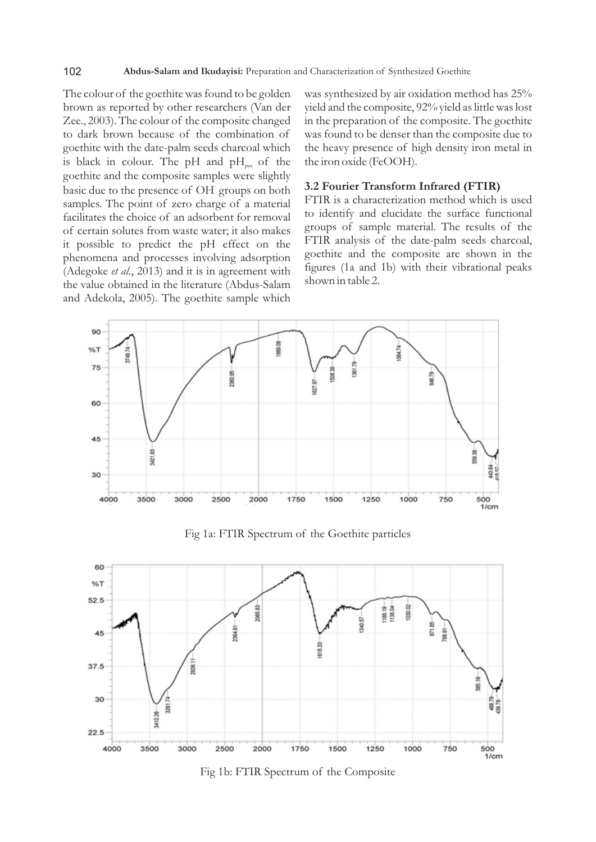#### 102 **Abdus-Salam and Ikudayisi:** Preparation and Characterization of Synthesized Goethite

The colour of the goethite was found to be golden brown as reported by other researchers (Van der Zee., 2003). The colour of the composite changed to dark brown because of the combination of goethite with the date-palm seeds charcoal which is black in colour. The pH and  $pH_{\text{vac}}$  of the goethite and the composite samples were slightly - basic due to the presence of OH groups on both samples. The point of zero charge of a material facilitates the choice of an adsorbent for removal of certain solutes from waste water; it also makes it possible to predict the pH effect on the phenomena and processes involving adsorption (Adegoke *et al*., 2013) and it is in agreement with the value obtained in the literature (Abdus-Salam and Adekola, 2005). The goethite sample which

was synthesized by air oxidation method has 25% yield and the composite, 92% yield as little was lost in the preparation of the composite. The goethite was found to be denser than the composite due to the heavy presence of high density iron metal in the iron oxide (FeOOH).

### **3.2 Fourier Transform Infrared (FTIR)**

FTIR is a characterization method which is used to identify and elucidate the surface functional groups of sample material. The results of the FTIR analysis of the date-palm seeds charcoal, goethite and the composite are shown in the figures (1a and 1b) with their vibrational peaks shown in table 2.



Fig 1a: FTIR Spectrum of the Goethite particles



Fig 1b: FTIR Spectrum of the Composite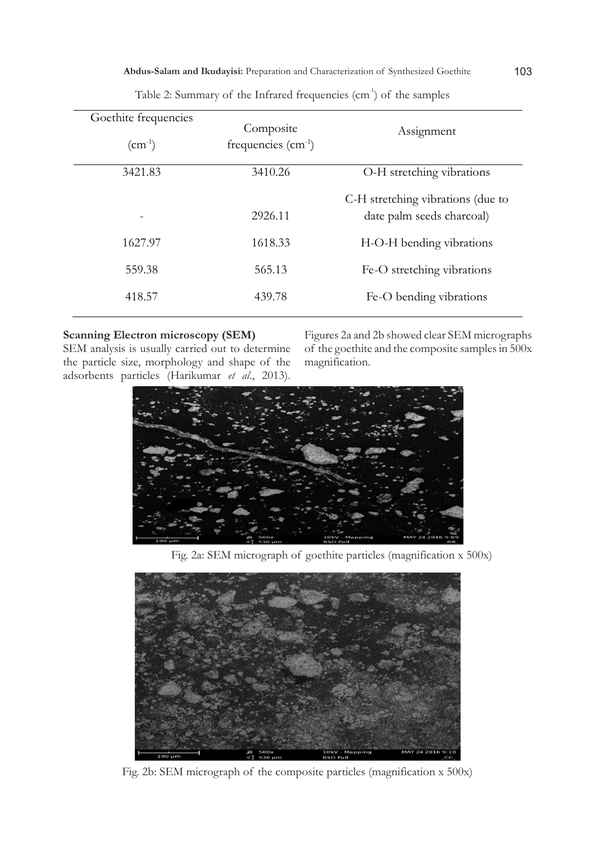| Goethite frequencies<br>$\rm (cm^{-1})$ | Composite<br>frequencies $(cm-1)$ | Assignment                                                     |
|-----------------------------------------|-----------------------------------|----------------------------------------------------------------|
| 3421.83                                 | 3410.26                           | O-H stretching vibrations                                      |
|                                         | 2926.11                           | C-H stretching vibrations (due to<br>date palm seeds charcoal) |
| 1627.97                                 | 1618.33                           | H-O-H bending vibrations                                       |
| 559.38                                  | 565.13                            | Fe-O stretching vibrations                                     |
| 418.57                                  | 439.78                            | Fe-O bending vibrations                                        |
|                                         |                                   |                                                                |

Table 2: Summary of the Infrared frequencies  $(cm<sup>-1</sup>)$  of the samples

# **Scanning Electron microscopy (SEM)**

SEM analysis is usually carried out to determine the particle size, morphology and shape of the adsorbents particles (Harikumar *et al*., 2013).

Figures 2a and 2b showed clear SEM micrographs of the goethite and the composite samples in 500x magnification.



Fig. 2a: SEM micrograph of goethite particles (magnification x 500x)



Fig. 2b: SEM micrograph of the composite particles (magnification x 500x)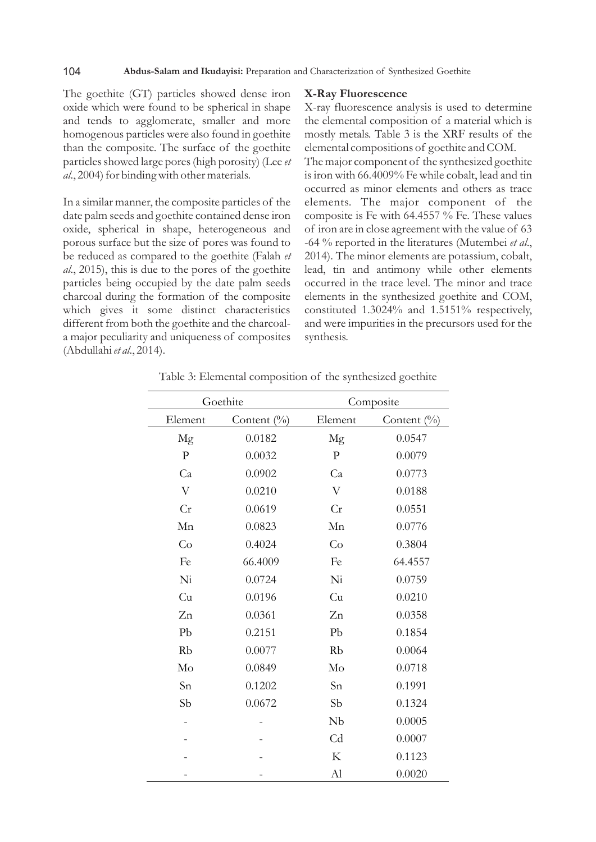The goethite (GT) particles showed dense iron oxide which were found to be spherical in shape and tends to agglomerate, smaller and more homogenous particles were also found in goethite than the composite. The surface of the goethite particles showed large pores (high porosity) (Lee *et al*., 2004) for binding with other materials.

In a similar manner, the composite particles of the date palm seeds and goethite contained dense iron oxide, spherical in shape, heterogeneous and porous surface but the size of pores was found to be reduced as compared to the goethite (Falah *et al*., 2015), this is due to the pores of the goethite particles being occupied by the date palm seeds charcoal during the formation of the composite which gives it some distinct characteristics different from both the goethite and the charcoala major peculiarity and uniqueness of composites (Abdullahi *et al*., 2014).

### **X-Ray Fluorescence**

X-ray fluorescence analysis is used to determine the elemental composition of a material which is mostly metals. Table 3 is the XRF results of the elemental compositions of goethite and COM. The major component of the synthesized goethite is iron with 66.4009% Fe while cobalt, lead and tin occurred as minor elements and others as trace elements. The major component of the composite is Fe with 64.4557 % Fe. These values of iron are in close agreement with the value of 63 -64 % reported in the literatures (Mutembei *et al*.,

2014). The minor elements are potassium, cobalt, lead, tin and antimony while other elements occurred in the trace level. The minor and trace elements in the synthesized goethite and COM, constituted 1.3024% and 1.5151% respectively, and were impurities in the precursors used for the synthesis.

| Goethite     |             | Composite    |             |  |
|--------------|-------------|--------------|-------------|--|
| Element      | Content (%) | Element      | Content (%) |  |
| Mg           | 0.0182      | Mg           | 0.0547      |  |
| $\mathbf{P}$ | 0.0032      | $\mathbf{P}$ | 0.0079      |  |
| Ca           | 0.0902      | Ca           | 0.0773      |  |
| $\rm V$      | 0.0210      | $\rm V$      | 0.0188      |  |
| Cr           | 0.0619      | Cr           | 0.0551      |  |
| Mn           | 0.0823      | Mn           | 0.0776      |  |
| Co           | 0.4024      | Co           | 0.3804      |  |
| Fe           | 66.4009     | Fe           | 64.4557     |  |
| Ni           | 0.0724      | Ni           | 0.0759      |  |
| Cu           | 0.0196      | Cu           | 0.0210      |  |
| Zn           | 0.0361      | Zn           | 0.0358      |  |
| Pb           | 0.2151      | Pb           | 0.1854      |  |
| Rb           | 0.0077      | Rb           | 0.0064      |  |
| Mo           | 0.0849      | Mo           | 0.0718      |  |
| Sn           | 0.1202      | Sn           | 0.1991      |  |
| Sb           | 0.0672      | Sb           | 0.1324      |  |
|              |             | Nb           | 0.0005      |  |
|              |             | Cd           | 0.0007      |  |
|              |             | K            | 0.1123      |  |
|              |             | Al           | 0.0020      |  |

Table 3: Elemental composition of the synthesized goethite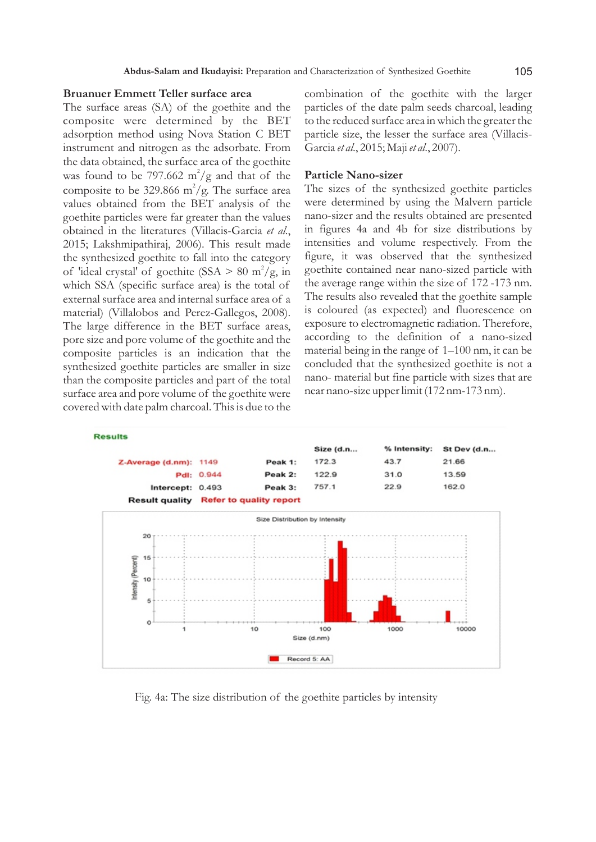### **Bruanuer Emmett Teller surface area**

The surface areas (SA) of the goethite and the composite were determined by the BET adsorption method using Nova Station C BET instrument and nitrogen as the adsorbate. From the data obtained, the surface area of the goethite was found to be 797.662 m<sup>2</sup>/g and that of the composite to be 329.866  $m^2/g$ . The surface area values obtained from the BET analysis of the goethite particles were far greater than the values obtained in the literatures (Villacis-Garcia *et al*., 2015; Lakshmipathiraj, 2006). This result made the synthesized goethite to fall into the category of 'ideal crystal' of goethite (SSA > 80 m<sup>2</sup>/g, in which SSA (specific surface area) is the total of external surface area and internal surface area of a material) (Villalobos and Perez-Gallegos, 2008). The large difference in the BET surface areas, pore size and pore volume of the goethite and the composite particles is an indication that the synthesized goethite particles are smaller in size than the composite particles and part of the total surface area and pore volume of the goethite were covered with date palm charcoal. This is due to the

combination of the goethite with the larger particles of the date palm seeds charcoal, leading to the reduced surface area in which the greater the particle size, the lesser the surface area (Villacis-Garcia *et al*., 2015; Maji *et al*., 2007).

### **Particle Nano-sizer**

The sizes of the synthesized goethite particles were determined by using the Malvern particle nano-sizer and the results obtained are presented in figures 4a and 4b for size distributions by intensities and volume respectively. From the figure, it was observed that the synthesized goethite contained near nano-sized particle with the average range within the size of 172 -173 nm. The results also revealed that the goethite sample is coloured (as expected) and fluorescence on exposure to electromagnetic radiation. Therefore, according to the definition of a nano-sized material being in the range of 1–100 nm, it can be concluded that the synthesized goethite is not a nano- material but fine particle with sizes that are near nano-size upper limit (172 nm-173 nm).



Fig. 4a: The size distribution of the goethite particles by intensity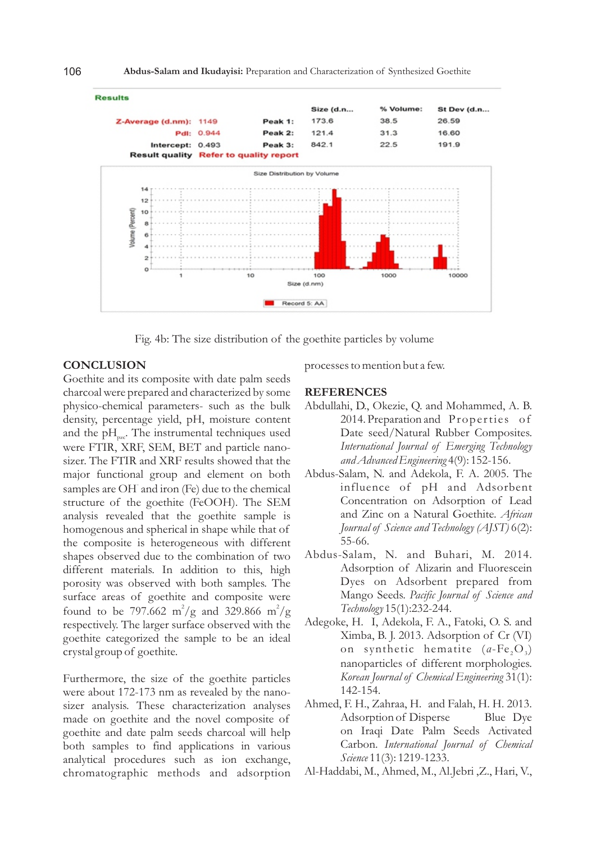

Fig. 4b: The size distribution of the goethite particles by volume

### **CONCLUSION**

Goethite and its composite with date palm seeds charcoal were prepared and characterized by some physico-chemical parameters- such as the bulk density, percentage yield, pH, moisture content and the  $pH_{\text{net}}$ . The instrumental techniques used were FTIR, XRF, SEM, BET and particle nanosizer. The FTIR and XRF results showed that the major functional group and element on both samples are OH and iron (Fe) due to the chemical structure of the goethite (FeOOH). The SEM analysis revealed that the goethite sample is homogenous and spherical in shape while that of the composite is heterogeneous with different shapes observed due to the combination of two different materials. In addition to this, high porosity was observed with both samples. The surface areas of goethite and composite were found to be 797.662 m<sup>2</sup>/g and 329.866 m<sup>2</sup>/g respectively. The larger surface observed with the goethite categorized the sample to be an ideal crystal group of goethite.

Furthermore, the size of the goethite particles were about 172-173 nm as revealed by the nanosizer analysis. These characterization analyses made on goethite and the novel composite of goethite and date palm seeds charcoal will help both samples to find applications in various analytical procedures such as ion exchange, chromatographic methods and adsorption processes to mention but a few.

### **REFERENCES**

- Abdullahi, D., Okezie, Q. and Mohammed, A. B. 2014. Preparation and Properties of Date seed/Natural Rubber Composites. *International Journal of Emerging Technology and Advanced Engineering* 4(9): 152-156.
- Abdus-Salam, N. and Adekola, F. A. 2005. The influence of pH and Adsorbent Concentration on Adsorption of Lead and Zinc on a Natural Goethite. *African Journal of Science and Technology (AJST)* 6(2): 55-66.
- Abdus-Salam, N. and Buhari, M. 2014. Adsorption of Alizarin and Fluorescein Dyes on Adsorbent prepared from Mango Seeds. *Pacific Journal of Science and Technology* 15(1):232-244.
- Adegoke, H. I, Adekola, F. A., Fatoki, O. S. and Ximba, B. J. 2013. Adsorption of Cr (VI) on synthetic hematite (*a*-Fe<sub>2</sub>O<sub>3</sub>) nanoparticles of different morphologies. *Korean Journal of Chemical Engineering* 31(1): 142-154.
- Ahmed, F. H., Zahraa, H. and Falah, H. H. 2013. Adsorption of Disperse Blue Dye on Iraqi Date Palm Seeds Activated Carbon. *International Journal of Chemical Science* 11(3): 1219-1233.
- Al-Haddabi, M., Ahmed, M., Al.Jebri ,Z., Hari, V.,